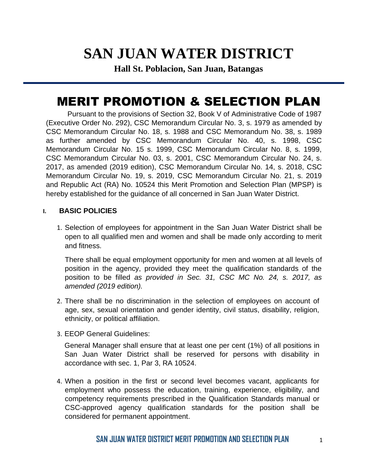# **SAN JUAN WATER DISTRICT**

**Hall St. Poblacion, San Juan, Batangas**

## MERIT PROMOTION & SELECTION PLAN

Pursuant to the provisions of Section 32, Book V of Administrative Code of 1987 (Executive Order No. 292), CSC Memorandum Circular No. 3, s. 1979 as amended by CSC Memorandum Circular No. 18, s. 1988 and CSC Memorandum No. 38, s. 1989 as further amended by CSC Memorandum Circular No. 40, s. 1998, CSC Memorandum Circular No. 15 s. 1999, CSC Memorandum Circular No. 8, s. 1999, CSC Memorandum Circular No. 03, s. 2001, CSC Memorandum Circular No. 24, s. 2017, as amended (2019 edition), CSC Memorandum Circular No. 14, s. 2018, CSC Memorandum Circular No. 19, s. 2019, CSC Memorandum Circular No. 21, s. 2019 and Republic Act (RA) No. 10524 this Merit Promotion and Selection Plan (MPSP) is hereby established for the guidance of all concerned in San Juan Water District.

## **I. BASIC POLICIES**

1. Selection of employees for appointment in the San Juan Water District shall be open to all qualified men and women and shall be made only according to merit and fitness.

There shall be equal employment opportunity for men and women at all levels of position in the agency, provided they meet the qualification standards of the position to be filled *as provided in Sec. 31, CSC MC No. 24, s. 2017, as amended (2019 edition).*

- 2. There shall be no discrimination in the selection of employees on account of age, sex, sexual orientation and gender identity, civil status, disability, religion, ethnicity, or political affiliation.
- 3. EEOP General Guidelines:

General Manager shall ensure that at least one per cent (1%) of all positions in San Juan Water District shall be reserved for persons with disability in accordance with sec. 1, Par 3, RA 10524.

4. When a position in the first or second level becomes vacant, applicants for employment who possess the education, training, experience, eligibility, and competency requirements prescribed in the Qualification Standards manual or CSC-approved agency qualification standards for the position shall be considered for permanent appointment.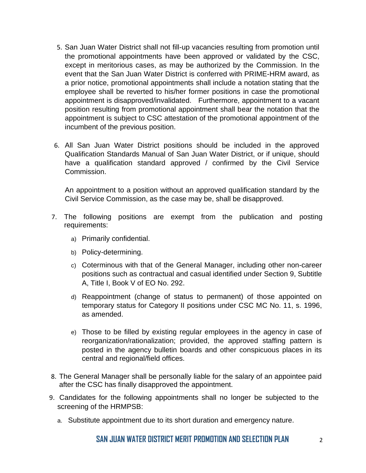- 5. San Juan Water District shall not fill-up vacancies resulting from promotion until the promotional appointments have been approved or validated by the CSC, except in meritorious cases, as may be authorized by the Commission. In the event that the San Juan Water District is conferred with PRIME-HRM award, as a prior notice, promotional appointments shall include a notation stating that the employee shall be reverted to his/her former positions in case the promotional appointment is disapproved/invalidated. Furthermore, appointment to a vacant position resulting from promotional appointment shall bear the notation that the appointment is subject to CSC attestation of the promotional appointment of the incumbent of the previous position.
- 6. All San Juan Water District positions should be included in the approved Qualification Standards Manual of San Juan Water District, or if unique, should have a qualification standard approved / confirmed by the Civil Service Commission.

An appointment to a position without an approved qualification standard by the Civil Service Commission, as the case may be, shall be disapproved.

- 7. The following positions are exempt from the publication and posting requirements:
	- a) Primarily confidential.
	- b) Policy-determining.
	- c) Coterminous with that of the General Manager, including other non-career positions such as contractual and casual identified under Section 9, Subtitle A, Title I, Book V of EO No. 292.
	- d) Reappointment (change of status to permanent) of those appointed on temporary status for Category II positions under CSC MC No. 11, s. 1996, as amended.
	- e) Those to be filled by existing regular employees in the agency in case of reorganization/rationalization; provided, the approved staffing pattern is posted in the agency bulletin boards and other conspicuous places in its central and regional/field offices.
- 8. The General Manager shall be personally liable for the salary of an appointee paid after the CSC has finally disapproved the appointment.
- 9. Candidates for the following appointments shall no longer be subjected to the screening of the HRMPSB:
	- a. Substitute appointment due to its short duration and emergency nature.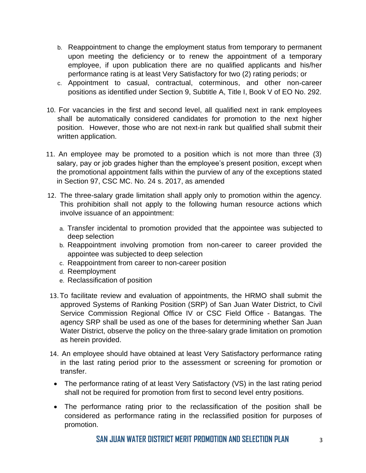- b. Reappointment to change the employment status from temporary to permanent upon meeting the deficiency or to renew the appointment of a temporary employee, if upon publication there are no qualified applicants and his/her performance rating is at least Very Satisfactory for two (2) rating periods; or
- c. Appointment to casual, contractual, coterminous, and other non-career positions as identified under Section 9, Subtitle A, Title I, Book V of EO No. 292.
- 10. For vacancies in the first and second level, all qualified next in rank employees shall be automatically considered candidates for promotion to the next higher position. However, those who are not next-in rank but qualified shall submit their written application.
- 11. An employee may be promoted to a position which is not more than three (3) salary, pay or job grades higher than the employee's present position, except when the promotional appointment falls within the purview of any of the exceptions stated in Section 97, CSC MC. No. 24 s. 2017, as amended
- 12. The three-salary grade limitation shall apply only to promotion within the agency. This prohibition shall not apply to the following human resource actions which involve issuance of an appointment:
	- a. Transfer incidental to promotion provided that the appointee was subjected to deep selection
	- b. Reappointment involving promotion from non-career to career provided the appointee was subjected to deep selection
	- c. Reappointment from career to non-career position
	- d. Reemployment
	- e. Reclassification of position
- 13.To facilitate review and evaluation of appointments, the HRMO shall submit the approved Systems of Ranking Position (SRP) of San Juan Water District, to Civil Service Commission Regional Office IV or CSC Field Office - Batangas. The agency SRP shall be used as one of the bases for determining whether San Juan Water District, observe the policy on the three-salary grade limitation on promotion as herein provided.
- 14. An employee should have obtained at least Very Satisfactory performance rating in the last rating period prior to the assessment or screening for promotion or transfer.
- The performance rating of at least Very Satisfactory (VS) in the last rating period shall not be required for promotion from first to second level entry positions.
- The performance rating prior to the reclassification of the position shall be considered as performance rating in the reclassified position for purposes of promotion.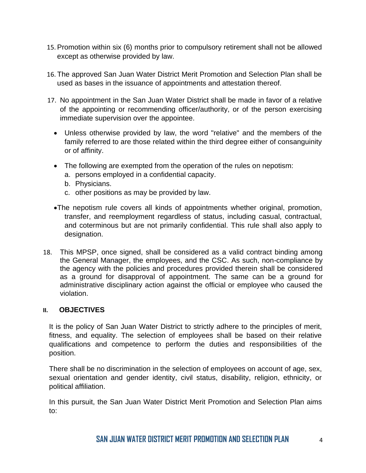- 15. Promotion within six (6) months prior to compulsory retirement shall not be allowed except as otherwise provided by law.
- 16. The approved San Juan Water District Merit Promotion and Selection Plan shall be used as bases in the issuance of appointments and attestation thereof.
- 17. No appointment in the San Juan Water District shall be made in favor of a relative of the appointing or recommending officer/authority, or of the person exercising immediate supervision over the appointee.
	- Unless otherwise provided by law, the word "relative" and the members of the family referred to are those related within the third degree either of consanguinity or of affinity.
	- The following are exempted from the operation of the rules on nepotism:
		- a. persons employed in a confidential capacity.
		- b. Physicians.
		- c. other positions as may be provided by law.
	- •The nepotism rule covers all kinds of appointments whether original, promotion, transfer, and reemployment regardless of status, including casual, contractual, and coterminous but are not primarily confidential. This rule shall also apply to designation.
- 18. This MPSP, once signed, shall be considered as a valid contract binding among the General Manager, the employees, and the CSC. As such, non-compliance by the agency with the policies and procedures provided therein shall be considered as a ground for disapproval of appointment. The same can be a ground for administrative disciplinary action against the official or employee who caused the violation.

## **II. OBJECTIVES**

It is the policy of San Juan Water District to strictly adhere to the principles of merit, fitness, and equality. The selection of employees shall be based on their relative qualifications and competence to perform the duties and responsibilities of the position.

There shall be no discrimination in the selection of employees on account of age, sex, sexual orientation and gender identity, civil status, disability, religion, ethnicity, or political affiliation.

In this pursuit, the San Juan Water District Merit Promotion and Selection Plan aims to: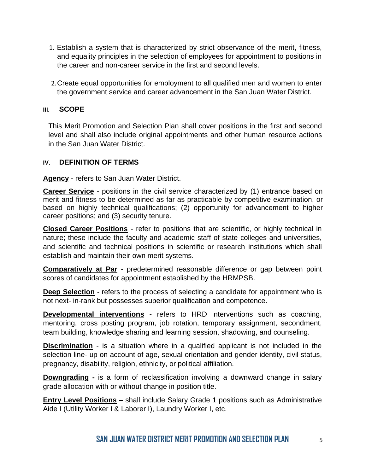- 1. Establish a system that is characterized by strict observance of the merit, fitness, and equality principles in the selection of employees for appointment to positions in the career and non-career service in the first and second levels.
- 2.Create equal opportunities for employment to all qualified men and women to enter the government service and career advancement in the San Juan Water District.

## **III. SCOPE**

This Merit Promotion and Selection Plan shall cover positions in the first and second level and shall also include original appointments and other human resource actions in the San Juan Water District.

## **IV. DEFINITION OF TERMS**

**Agency** - refers to San Juan Water District.

**Career Service** - positions in the civil service characterized by (1) entrance based on merit and fitness to be determined as far as practicable by competitive examination, or based on highly technical qualifications; (2) opportunity for advancement to higher career positions; and (3) security tenure.

**Closed Career Positions** *-* refer to positions that are scientific, or highly technical in nature; these include the faculty and academic staff of state colleges and universities, and scientific and technical positions in scientific or research institutions which shall establish and maintain their own merit systems.

**Comparatively at Par** - predetermined reasonable difference or gap between point scores of candidates for appointment established by the HRMPSB.

**Deep Selection** - refers to the process of selecting a candidate for appointment who is not next- in-rank but possesses superior qualification and competence.

**Developmental interventions** - refers to HRD interventions such as coaching, mentoring, cross posting program, job rotation, temporary assignment, secondment, team building, knowledge sharing and learning session, shadowing, and counseling.

**Discrimination** - is a situation where in a qualified applicant is not included in the selection line- up on account of age, sexual orientation and gender identity, civil status, pregnancy, disability, religion, ethnicity, or political affiliation.

**Downgrading -** is a form of reclassification involving a downward change in salary grade allocation with or without change in position title.

**Entry Level Positions** *–* shall include Salary Grade 1 positions such as Administrative Aide I (Utility Worker I & Laborer I), Laundry Worker I, etc.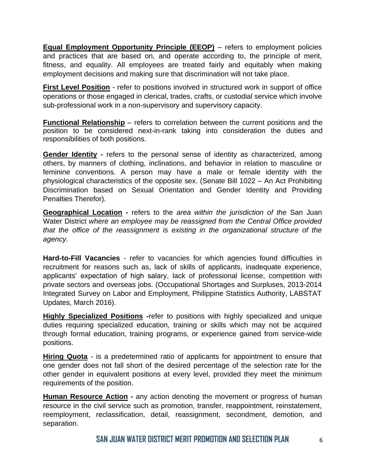**Equal Employment Opportunity Principle (EEOP)** – refers to employment policies and practices that are based on, and operate according to, the principle of merit, fitness, and equality. All employees are treated fairly and equitably when making employment decisions and making sure that discrimination will not take place.

**First Level Position** - refer to positions involved in structured work in support of office operations or those engaged in clerical, trades, crafts, or custodial service which involve sub-professional work in a non-supervisory and supervisory capacity.

**Functional Relationship** – refers to correlation between the current positions and the position to be considered next-in-rank taking into consideration the duties and responsibilities of both positions.

**Gender Identity** - refers to the personal sense of identity as characterized, among others, by manners of clothing, inclinations, and behavior in relation to masculine or feminine conventions. A person may have a male or female identity with the physiological characteristics of the opposite sex. (Senate Bill 1022 – An Act Prohibiting Discrimination based on Sexual Orientation and Gender Identity and Providing Penalties Therefor).

**Geographical Location -** refers to the *area within the jurisdiction of the* San Juan Water District *where an employee may be reassigned from the Central Office provided that the office of the reassignment is existing in the organizational structure of the agency.* 

**Hard-to-Fill Vacancies** - refer to vacancies for which agencies found difficulties in recruitment for reasons such as, lack of skills of applicants, inadequate experience, applicants' expectation of high salary, lack of professional license, competition with private sectors and overseas jobs. (Occupational Shortages and Surpluses, 2013-2014 Integrated Survey on Labor and Employment, Philippine Statistics Authority, LABSTAT Updates, March 2016).

**Highly Specialized Positions -**refer to positions with highly specialized and unique duties requiring specialized education, training or skills which may not be acquired through formal education, training programs, or experience gained from service-wide positions.

**Hiring Quota** - is a predetermined ratio of applicants for appointment to ensure that one gender does not fall short of the desired percentage of the selection rate for the other gender in equivalent positions at every level, provided they meet the minimum requirements of the position.

**Human Resource Action** - any action denoting the movement or progress of human resource in the civil service such as promotion, transfer, reappointment, reinstatement, reemployment, reclassification, detail, reassignment, secondment, demotion, and separation.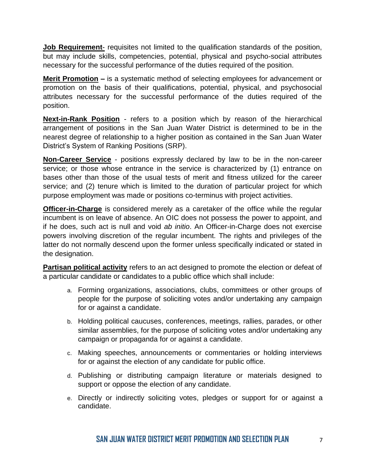**Job Requirement**- requisites not limited to the qualification standards of the position, but may include skills, competencies, potential, physical and psycho-social attributes necessary for the successful performance of the duties required of the position.

**Merit Promotion –** is a systematic method of selecting employees for advancement or promotion on the basis of their qualifications, potential, physical, and psychosocial attributes necessary for the successful performance of the duties required of the position.

**Next-in-Rank Position** - refers to a position which by reason of the hierarchical arrangement of positions in the San Juan Water District is determined to be in the nearest degree of relationship to a higher position as contained in the San Juan Water District's System of Ranking Positions (SRP).

**Non-Career Service** - positions expressly declared by law to be in the non-career service; or those whose entrance in the service is characterized by (1) entrance on bases other than those of the usual tests of merit and fitness utilized for the career service; and (2) tenure which is limited to the duration of particular project for which purpose employment was made or positions co-terminus with project activities.

**Officer-in-Charge** is considered merely as a caretaker of the office while the regular incumbent is on leave of absence. An OIC does not possess the power to appoint, and if he does, such act is null and void *ab initio*. An Officer-in-Charge does not exercise powers involving discretion of the regular incumbent. The rights and privileges of the latter do not normally descend upon the former unless specifically indicated or stated in the designation.

**Partisan political activity** refers to an act designed to promote the election or defeat of a particular candidate or candidates to a public office which shall include:

- a. Forming organizations, associations, clubs, committees or other groups of people for the purpose of soliciting votes and/or undertaking any campaign for or against a candidate.
- b. Holding political caucuses, conferences, meetings, rallies, parades, or other similar assemblies, for the purpose of soliciting votes and/or undertaking any campaign or propaganda for or against a candidate.
- c. Making speeches, announcements or commentaries or holding interviews for or against the election of any candidate for public office.
- d. Publishing or distributing campaign literature or materials designed to support or oppose the election of any candidate.
- e. Directly or indirectly soliciting votes, pledges or support for or against a candidate.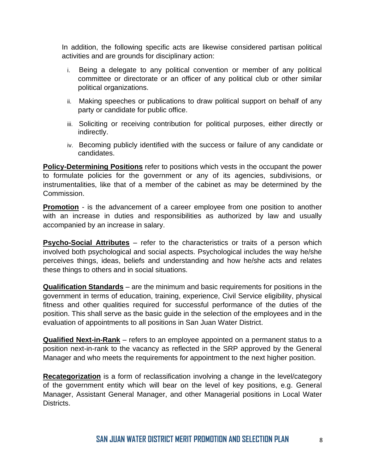In addition, the following specific acts are likewise considered partisan political activities and are grounds for disciplinary action:

- i. Being a delegate to any political convention or member of any political committee or directorate or an officer of any political club or other similar political organizations.
- ii. Making speeches or publications to draw political support on behalf of any party or candidate for public office.
- iii. Soliciting or receiving contribution for political purposes, either directly or indirectly.
- iv. Becoming publicly identified with the success or failure of any candidate or candidates.

**Policy-Determining Positions** refer to positions which vests in the occupant the power to formulate policies for the government or any of its agencies, subdivisions, or instrumentalities, like that of a member of the cabinet as may be determined by the Commission.

**Promotion** - is the advancement of a career employee from one position to another with an increase in duties and responsibilities as authorized by law and usually accompanied by an increase in salary.

**Psycho-Social Attributes** – refer to the characteristics or traits of a person which involved both psychological and social aspects. Psychological includes the way he/she perceives things, ideas, beliefs and understanding and how he/she acts and relates these things to others and in social situations.

**Qualification Standards** – are the minimum and basic requirements for positions in the government in terms of education, training, experience, Civil Service eligibility, physical fitness and other qualities required for successful performance of the duties of the position. This shall serve as the basic guide in the selection of the employees and in the evaluation of appointments to all positions in San Juan Water District.

**Qualified Next-in-Rank** – refers to an employee appointed on a permanent status to a position next-in-rank to the vacancy as reflected in the SRP approved by the General Manager and who meets the requirements for appointment to the next higher position.

**Recategorization** is a form of reclassification involving a change in the level/category of the government entity which will bear on the level of key positions, e.g. General Manager, Assistant General Manager, and other Managerial positions in Local Water Districts.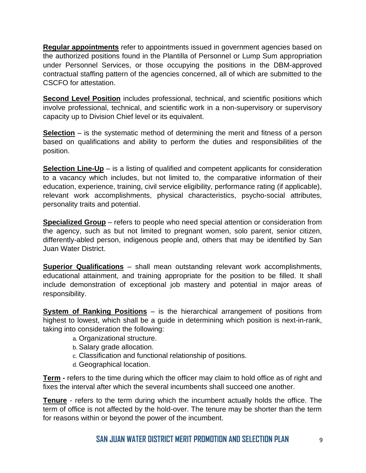**Regular appointments** refer to appointments issued in government agencies based on the authorized positions found in the Plantilla of Personnel or Lump Sum appropriation under Personnel Services, or those occupying the positions in the DBM-approved contractual staffing pattern of the agencies concerned, all of which are submitted to the CSCFO for attestation.

**Second Level Position** includes professional, technical, and scientific positions which involve professional, technical, and scientific work in a non-supervisory or supervisory capacity up to Division Chief level or its equivalent.

**Selection** – is the systematic method of determining the merit and fitness of a person based on qualifications and ability to perform the duties and responsibilities of the position.

**Selection Line-Up** – is a listing of qualified and competent applicants for consideration to a vacancy which includes, but not limited to, the comparative information of their education, experience, training, civil service eligibility, performance rating (if applicable), relevant work accomplishments, physical characteristics, psycho-social attributes, personality traits and potential.

**Specialized Group** – refers to people who need special attention or consideration from the agency, such as but not limited to pregnant women, solo parent, senior citizen, differently-abled person, indigenous people and, others that may be identified by San Juan Water District.

**Superior Qualifications** – shall mean outstanding relevant work accomplishments, educational attainment, and training appropriate for the position to be filled. It shall include demonstration of exceptional job mastery and potential in major areas of responsibility.

**System of Ranking Positions** – is the hierarchical arrangement of positions from highest to lowest, which shall be a guide in determining which position is next-in-rank, taking into consideration the following:

- a. Organizational structure.
- b. Salary grade allocation.
- c. Classification and functional relationship of positions.
- d. Geographical location.

**Term -** refers to the time during which the officer may claim to hold office as of right and fixes the interval after which the several incumbents shall succeed one another.

**Tenure** - refers to the term during which the incumbent actually holds the office. The term of office is not affected by the hold-over. The tenure may be shorter than the term for reasons within or beyond the power of the incumbent.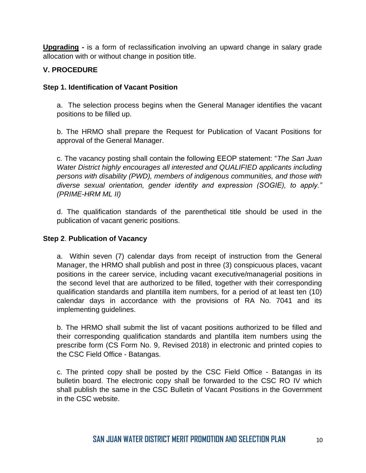**Upgrading -** is a form of reclassification involving an upward change in salary grade allocation with or without change in position title.

## **V. PROCEDURE**

## **Step 1. Identification of Vacant Position**

a. The selection process begins when the General Manager identifies the vacant positions to be filled up.

b. The HRMO shall prepare the Request for Publication of Vacant Positions for approval of the General Manager.

c. The vacancy posting shall contain the following EEOP statement: "*The San Juan Water District highly encourages all interested and QUALIFIED applicants including persons with disability (PWD), members of indigenous communities, and those with diverse sexual orientation, gender identity and expression (SOGIE), to apply." (PRIME-HRM ML II)*

d. The qualification standards of the parenthetical title should be used in the publication of vacant generic positions.

## **Step 2**. **Publication of Vacancy**

a. Within seven (7) calendar days from receipt of instruction from the General Manager, the HRMO shall publish and post in three (3) conspicuous places, vacant positions in the career service, including vacant executive/managerial positions in the second level that are authorized to be filled, together with their corresponding qualification standards and plantilla item numbers, for a period of at least ten (10) calendar days in accordance with the provisions of RA No. 7041 and its implementing guidelines.

b. The HRMO shall submit the list of vacant positions authorized to be filled and their corresponding qualification standards and plantilla item numbers using the prescribe form (CS Form No. 9, Revised 2018) in electronic and printed copies to the CSC Field Office - Batangas.

c. The printed copy shall be posted by the CSC Field Office - Batangas in its bulletin board. The electronic copy shall be forwarded to the CSC RO IV which shall publish the same in the CSC Bulletin of Vacant Positions in the Government in the CSC website.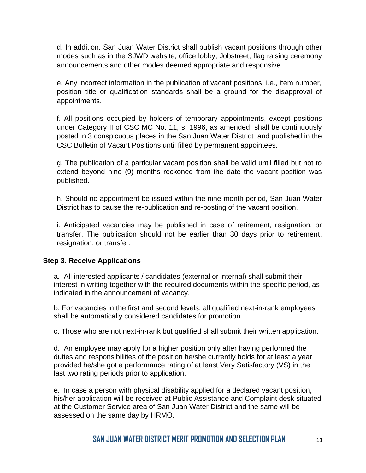d. In addition, San Juan Water District shall publish vacant positions through other modes such as in the SJWD website, office lobby, Jobstreet, flag raising ceremony announcements and other modes deemed appropriate and responsive.

e. Any incorrect information in the publication of vacant positions, i.e., item number, position title or qualification standards shall be a ground for the disapproval of appointments.

f. All positions occupied by holders of temporary appointments, except positions under Category II of CSC MC No. 11, s. 1996, as amended, shall be continuously posted in 3 conspicuous places in the San Juan Water District and published in the CSC Bulletin of Vacant Positions until filled by permanent appointees.

g. The publication of a particular vacant position shall be valid until filled but not to extend beyond nine (9) months reckoned from the date the vacant position was published.

h. Should no appointment be issued within the nine-month period, San Juan Water District has to cause the re-publication and re-posting of the vacant position.

i. Anticipated vacancies may be published in case of retirement, resignation, or transfer. The publication should not be earlier than 30 days prior to retirement, resignation, or transfer.

## **Step 3**. **Receive Applications**

a. All interested applicants / candidates (external or internal) shall submit their interest in writing together with the required documents within the specific period, as indicated in the announcement of vacancy.

b. For vacancies in the first and second levels, all qualified next-in-rank employees shall be automatically considered candidates for promotion.

c. Those who are not next-in-rank but qualified shall submit their written application.

d. An employee may apply for a higher position only after having performed the duties and responsibilities of the position he/she currently holds for at least a year provided he/she got a performance rating of at least Very Satisfactory (VS) in the last two rating periods prior to application.

e. In case a person with physical disability applied for a declared vacant position, his/her application will be received at Public Assistance and Complaint desk situated at the Customer Service area of San Juan Water District and the same will be assessed on the same day by HRMO.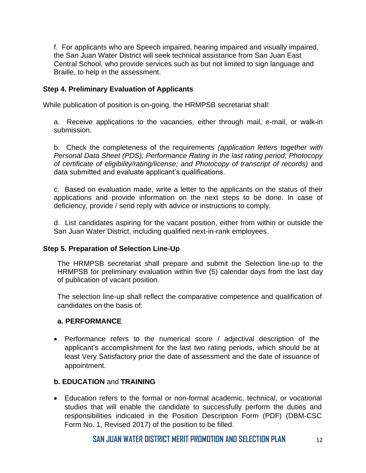f. For applicants who are Speech impaired, hearing impaired and visually impaired, the San Juan Water District will seek technical assistance from San Juan East Central School, who provide services such as but not limited to sign language and Braille, to help in the assessment.

## **Step 4. Preliminary Evaluation of Applicants**

While publication of position is on-going, the HRMPSB secretariat shall:

a. Receive applications to the vacancies, either through mail, e-mail, or walk-in submission.

b. Check the completeness of the requirements *(application letters together with Personal Data Sheet (PDS); Performance Rating in the last rating period; Photocopy of certificate of eligibility/rating/license; and Photocopy of transcript of records)* and data submitted and evaluate applicant's qualifications.

c. Based on evaluation made, write a letter to the applicants on the status of their applications and provide information on the next steps to be done. In case of deficiency, provide / send reply with advice or instructions to comply.

d. List candidates aspiring for the vacant position, either from within or outside the San Juan Water District, including qualified next-in-rank employees.

## **Step 5. Preparation of Selection Line-Up**

The HRMPSB secretariat shall prepare and submit the Selection line-up to the HRMPSB for preliminary evaluation within five (5) calendar days from the last day of publication of vacant position.

The selection line-up shall reflect the comparative competence and qualification of candidates on the basis of:

## **a. PERFORMANCE**

• Performance refers to the numerical score / adjectival description of the applicant's accomplishment for the last two rating periods, which should be at least Very Satisfactory prior the date of assessment and the date of issuance of appointment.

## **b. EDUCATION** and **TRAINING**

• Education refers to the formal or non-formal academic, technical, or vocational studies that will enable the candidate to successfully perform the duties and responsibilities indicated in the Position Description Form (PDF) (DBM-CSC Form No. 1, Revised 2017) of the position to be filled.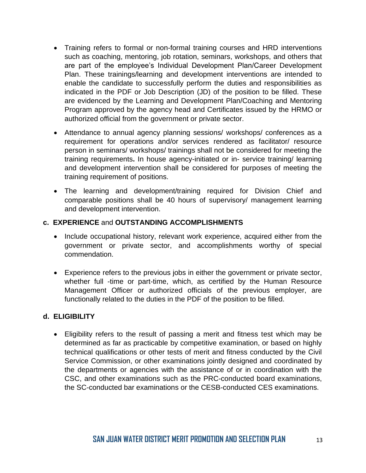- Training refers to formal or non-formal training courses and HRD interventions such as coaching, mentoring, job rotation, seminars, workshops, and others that are part of the employee's Individual Development Plan/Career Development Plan. These trainings/learning and development interventions are intended to enable the candidate to successfully perform the duties and responsibilities as indicated in the PDF or Job Description (JD) of the position to be filled. These are evidenced by the Learning and Development Plan/Coaching and Mentoring Program approved by the agency head and Certificates issued by the HRMO or authorized official from the government or private sector.
- Attendance to annual agency planning sessions/ workshops/ conferences as a requirement for operations and/or services rendered as facilitator/ resource person in seminars/ workshops/ trainings shall not be considered for meeting the training requirements**.** In house agency-initiated or in- service training/ learning and development intervention shall be considered for purposes of meeting the training requirement of positions.
- The learning and development/training required for Division Chief and comparable positions shall be 40 hours of supervisory/ management learning and development intervention.

## **c. EXPERIENCE** and **OUTSTANDING ACCOMPLISHMENTS**

- Include occupational history, relevant work experience, acquired either from the government or private sector, and accomplishments worthy of special commendation.
- Experience refers to the previous jobs in either the government or private sector, whether full -time or part-time, which, as certified by the Human Resource Management Officer or authorized officials of the previous employer, are functionally related to the duties in the PDF of the position to be filled.

## **d. ELIGIBILITY**

• Eligibility refers to the result of passing a merit and fitness test which may be determined as far as practicable by competitive examination, or based on highly technical qualifications or other tests of merit and fitness conducted by the Civil Service Commission, or other examinations jointly designed and coordinated by the departments or agencies with the assistance of or in coordination with the CSC, and other examinations such as the PRC-conducted board examinations, the SC-conducted bar examinations or the CESB-conducted CES examinations.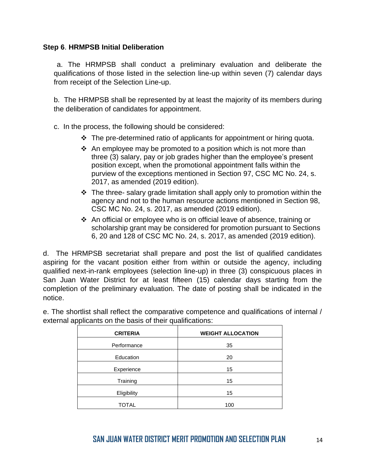## **Step 6**. **HRMPSB Initial Deliberation**

a. The HRMPSB shall conduct a preliminary evaluation and deliberate the qualifications of those listed in the selection line-up within seven (7) calendar days from receipt of the Selection Line-up.

b. The HRMPSB shall be represented by at least the majority of its members during the deliberation of candidates for appointment.

c. In the process, the following should be considered:

- ❖ The pre-determined ratio of applicants for appointment or hiring quota.
- ❖ An employee may be promoted to a position which is not more than three (3) salary, pay or job grades higher than the employee's present position except, when the promotional appointment falls within the purview of the exceptions mentioned in Section 97, CSC MC No. 24, s. 2017, as amended (2019 edition).
- ❖ The three- salary grade limitation shall apply only to promotion within the agency and not to the human resource actions mentioned in Section 98, CSC MC No. 24, s. 2017, as amended (2019 edition).
- ❖ An official or employee who is on official leave of absence, training or scholarship grant may be considered for promotion pursuant to Sections 6, 20 and 128 of CSC MC No. 24, s. 2017, as amended (2019 edition).

d. The HRMPSB secretariat shall prepare and post the list of qualified candidates aspiring for the vacant position either from within or outside the agency, including qualified next-in-rank employees (selection line-up) in three (3) conspicuous places in San Juan Water District for at least fifteen (15) calendar days starting from the completion of the preliminary evaluation. The date of posting shall be indicated in the notice.

| <b>CRITERIA</b> | <b>WEIGHT ALLOCATION</b> |
|-----------------|--------------------------|
| Performance     | 35                       |
| Education       | 20                       |
| Experience      | 15                       |
| Training        | 15                       |
| Eligibility     | 15                       |
| <b>TOTAL</b>    | 100                      |

e. The shortlist shall reflect the comparative competence and qualifications of internal / external applicants on the basis of their qualifications: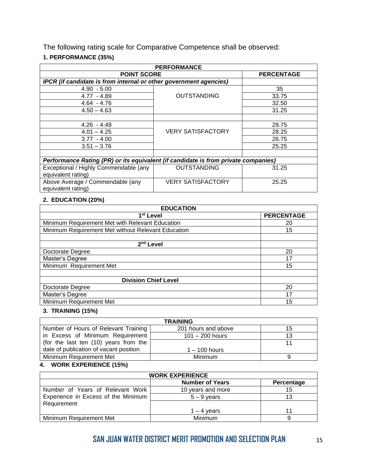The following rating scale for Comparative Competence shall be observed:

## **1. PERFORMANCE (35%)**

| <b>PERFORMANCE</b>                                                                 |                          |                   |  |
|------------------------------------------------------------------------------------|--------------------------|-------------------|--|
| <b>POINT SCORE</b>                                                                 |                          | <b>PERCENTAGE</b> |  |
| IPCR (if candidate is from internal or other government agencies)                  |                          |                   |  |
| $4.90 - 5.00$                                                                      |                          | 35                |  |
| $4.77 - 4.89$                                                                      | <b>OUTSTANDING</b>       | 33.75             |  |
| $4.64 - 4.76$                                                                      |                          | 32.50             |  |
| $4.50 - 4.63$                                                                      |                          | 31.25             |  |
|                                                                                    |                          |                   |  |
| $4.26 - 4.49$                                                                      |                          | 29.75             |  |
| $4.01 - 4.25$                                                                      | <b>VERY SATISFACTORY</b> | 28.25             |  |
| $3.77 - 4.00$                                                                      |                          | 26.75             |  |
| $3.51 - 3.76$                                                                      |                          | 25.25             |  |
|                                                                                    |                          |                   |  |
| Performance Rating (PR) or its equivalent (if candidate is from private companies) |                          |                   |  |
| Exceptional / Highly Commendable (any                                              | OUTSTANDING              | 31.25             |  |
| equivalent rating)                                                                 |                          |                   |  |
| Above Average / Commendable (any                                                   | <b>VERY SATISFACTORY</b> | 25.25             |  |
| equivalent rating)                                                                 |                          |                   |  |

## **2. EDUCATION (20%)**

| <b>EDUCATION</b>                                   |                   |  |
|----------------------------------------------------|-------------------|--|
| 1 <sup>st</sup> Level                              | <b>PERCENTAGE</b> |  |
| Minimum Requirement Met with Relevant Education    | 20                |  |
| Minimum Requirement Met without Relevant Education | 15                |  |
|                                                    |                   |  |
| 2 <sup>nd</sup> Level                              |                   |  |
| Doctorate Degree                                   | 20                |  |
| Master's Degree                                    | 17                |  |
| Minimum Requirement Met                            | 15                |  |
|                                                    |                   |  |
| <b>Division Chief Level</b>                        |                   |  |
| Doctorate Degree                                   | 20                |  |
| Master's Degree                                    | 17                |  |
| Minimum Requirement Met                            | 15                |  |

## **3. TRAINING (15%)**

| <b>TRAINING</b>                        |                     |    |
|----------------------------------------|---------------------|----|
| Number of Hours of Relevant Training   | 201 hours and above | 15 |
| in Excess of Minimum Requirement       | $101 - 200$ hours   | 13 |
| (for the last ten (10) years from the  |                     |    |
| date of publication of vacant position | $1 - 100$ hours     |    |
| Minimum Requirement Met                | <b>Minimum</b>      |    |

#### **4. WORK EXPERIENCE (15%)**

| <b>WORK EXPERIENCE</b>              |                        |            |
|-------------------------------------|------------------------|------------|
|                                     | <b>Number of Years</b> | Percentage |
| Number of Years of Relevant Work    | 10 years and more      | 15         |
| Experience in Excess of the Minimum | $5 - 9$ vears          |            |
| Requirement                         |                        |            |
|                                     | $1 - 4$ years          |            |
| Minimum Requirement Met             | <b>Minimum</b>         |            |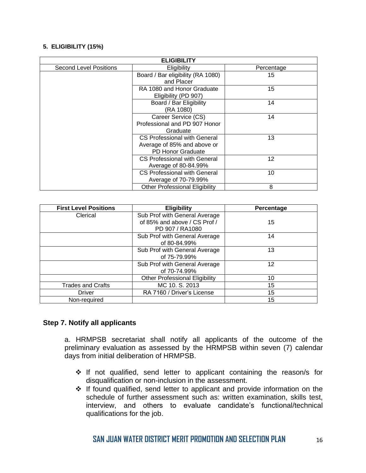#### **5. ELIGIBILITY (15%)**

| <b>ELIGIBILITY</b>            |                                       |            |
|-------------------------------|---------------------------------------|------------|
| <b>Second Level Positions</b> | Eligibility                           | Percentage |
|                               | Board / Bar eligibility (RA 1080)     | 15         |
|                               | and Placer                            |            |
|                               | RA 1080 and Honor Graduate            | 15         |
|                               | Eligibility (PD 907)                  |            |
|                               | Board / Bar Eligibility               | 14         |
|                               | (RA 1080)                             |            |
|                               | Career Service (CS)                   | 14         |
|                               | Professional and PD 907 Honor         |            |
|                               | Graduate                              |            |
|                               | CS Professional with General          | 13         |
|                               | Average of 85% and above or           |            |
|                               | <b>PD Honor Graduate</b>              |            |
|                               | CS Professional with General          | 12         |
|                               | Average of 80-84.99%                  |            |
|                               | <b>CS Professional with General</b>   | 10         |
|                               | Average of 70-79.99%                  |            |
|                               | <b>Other Professional Eligibility</b> | 8          |

| <b>First Level Positions</b> | <b>Eligibility</b>                    | Percentage |
|------------------------------|---------------------------------------|------------|
| Clerical                     | Sub Prof with General Average         |            |
|                              | of 85% and above / CS Prof /          | 15         |
|                              | PD 907 / RA1080                       |            |
|                              | Sub Prof with General Average         | 14         |
|                              | of 80-84.99%                          |            |
|                              | Sub Prof with General Average         | 13         |
|                              | of 75-79.99%                          |            |
|                              | Sub Prof with General Average         | 12         |
|                              | of 70-74.99%                          |            |
|                              | <b>Other Professional Eligibility</b> | 10         |
| <b>Trades and Crafts</b>     | MC 10. S. 2013                        | 15         |
| Driver                       | RA 7160 / Driver's License            | 15         |
| Non-required                 |                                       | 15         |

## **Step 7. Notify all applicants**

a. HRMPSB secretariat shall notify all applicants of the outcome of the preliminary evaluation as assessed by the HRMPSB within seven (7) calendar days from initial deliberation of HRMPSB.

- ❖ If not qualified, send letter to applicant containing the reason/s for disqualification or non-inclusion in the assessment.
- ❖ If found qualified, send letter to applicant and provide information on the schedule of further assessment such as: written examination, skills test, interview, and others to evaluate candidate's functional/technical qualifications for the job.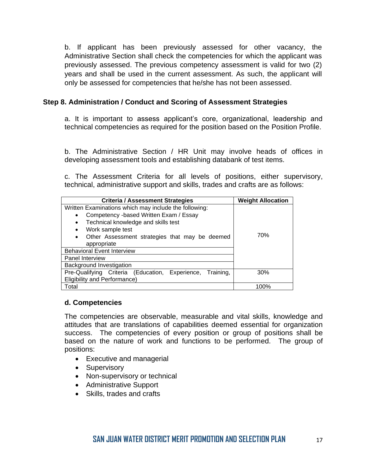b. If applicant has been previously assessed for other vacancy, the Administrative Section shall check the competencies for which the applicant was previously assessed. The previous competency assessment is valid for two (2) years and shall be used in the current assessment. As such, the applicant will only be assessed for competencies that he/she has not been assessed.

## **Step 8. Administration / Conduct and Scoring of Assessment Strategies**

a. It is important to assess applicant's core, organizational, leadership and technical competencies as required for the position based on the Position Profile.

b. The Administrative Section / HR Unit may involve heads of offices in developing assessment tools and establishing databank of test items.

c. The Assessment Criteria for all levels of positions, either supervisory, technical, administrative support and skills, trades and crafts are as follows:

| <b>Criteria / Assessment Strategies</b>                     | <b>Weight Allocation</b> |
|-------------------------------------------------------------|--------------------------|
| Written Examinations which may include the following:       |                          |
| Competency -based Written Exam / Essay<br>$\bullet$         |                          |
| Technical knowledge and skills test<br>$\bullet$            |                          |
| Work sample test                                            |                          |
| Other Assessment strategies that may be deemed<br>$\bullet$ | 70%                      |
| appropriate                                                 |                          |
| <b>Behavioral Event Interview</b>                           |                          |
| Panel Interview                                             |                          |
| Background Investigation                                    |                          |
| Pre-Qualifying Criteria (Education, Experience, Training,   | 30%                      |
| <b>Eligibility and Performance)</b>                         |                          |
| Total                                                       | 100%                     |

## **d. Competencies**

The competencies are observable, measurable and vital skills, knowledge and attitudes that are translations of capabilities deemed essential for organization success. The competencies of every position or group of positions shall be based on the nature of work and functions to be performed. The group of positions:

- Executive and managerial
- Supervisory
- Non-supervisory or technical
- Administrative Support
- Skills, trades and crafts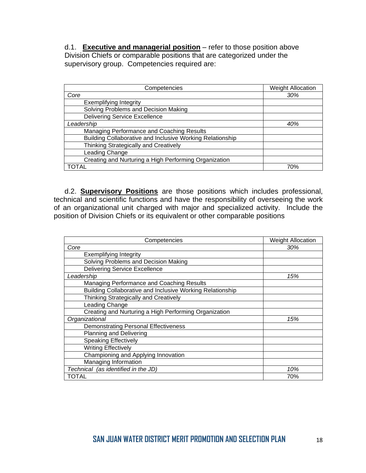d.1. **Executive and managerial position** – refer to those position above Division Chiefs or comparable positions that are categorized under the supervisory group. Competencies required are:

| Competencies                                              | <b>Weight Allocation</b> |
|-----------------------------------------------------------|--------------------------|
| Core                                                      | 30%                      |
| <b>Exemplifying Integrity</b>                             |                          |
| Solving Problems and Decision Making                      |                          |
| <b>Delivering Service Excellence</b>                      |                          |
| Leadership                                                | 40%                      |
| Managing Performance and Coaching Results                 |                          |
| Building Collaborative and Inclusive Working Relationship |                          |
| Thinking Strategically and Creatively                     |                          |
| Leading Change                                            |                          |
| Creating and Nurturing a High Performing Organization     |                          |
| )TAL                                                      | 70%                      |

d.2. **Supervisory Positions** are those positions which includes professional, technical and scientific functions and have the responsibility of overseeing the work of an organizational unit charged with major and specialized activity. Include the position of Division Chiefs or its equivalent or other comparable positions

| Competencies                                              | <b>Weight Allocation</b> |
|-----------------------------------------------------------|--------------------------|
| Core                                                      | 30%                      |
| <b>Exemplifying Integrity</b>                             |                          |
| Solving Problems and Decision Making                      |                          |
| <b>Delivering Service Excellence</b>                      |                          |
| Leadership                                                | 15%                      |
| Managing Performance and Coaching Results                 |                          |
| Building Collaborative and Inclusive Working Relationship |                          |
| Thinking Strategically and Creatively                     |                          |
| Leading Change                                            |                          |
| Creating and Nurturing a High Performing Organization     |                          |
| Organizational                                            | 15%                      |
| <b>Demonstrating Personal Effectiveness</b>               |                          |
| <b>Planning and Delivering</b>                            |                          |
| <b>Speaking Effectively</b>                               |                          |
| <b>Writing Effectively</b>                                |                          |
| Championing and Applying Innovation                       |                          |
| Managing Information                                      |                          |
| Technical (as identified in the JD)                       | 10%                      |
| TOTAL                                                     | 70%                      |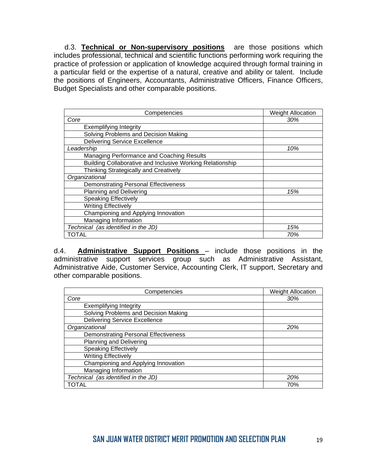d.3. **Technical or Non-supervisory positions** are those positions which includes professional, technical and scientific functions performing work requiring the practice of profession or application of knowledge acquired through formal training in a particular field or the expertise of a natural, creative and ability or talent. Include the positions of Engineers, Accountants, Administrative Officers, Finance Officers, Budget Specialists and other comparable positions.

| Competencies                                              | <b>Weight Allocation</b> |
|-----------------------------------------------------------|--------------------------|
| Core                                                      | 30%                      |
| <b>Exemplifying Integrity</b>                             |                          |
| Solving Problems and Decision Making                      |                          |
| <b>Delivering Service Excellence</b>                      |                          |
| Leadership                                                | 10%                      |
| Managing Performance and Coaching Results                 |                          |
| Building Collaborative and Inclusive Working Relationship |                          |
| Thinking Strategically and Creatively                     |                          |
| Organizational                                            |                          |
| <b>Demonstrating Personal Effectiveness</b>               |                          |
| <b>Planning and Delivering</b>                            | 15%                      |
| <b>Speaking Effectively</b>                               |                          |
| <b>Writing Effectively</b>                                |                          |
| Championing and Applying Innovation                       |                          |
| Managing Information                                      |                          |
| Technical (as identified in the JD)                       | 15%                      |
| TOTAL                                                     | 70%                      |

d.4. **Administrative Support Positions** – include those positions in the administrative support services group such as Administrative Assistant, Administrative Aide, Customer Service, Accounting Clerk, IT support, Secretary and other comparable positions.

| Competencies                                | <b>Weight Allocation</b> |
|---------------------------------------------|--------------------------|
| Core                                        | 30%                      |
| <b>Exemplifying Integrity</b>               |                          |
| Solving Problems and Decision Making        |                          |
| <b>Delivering Service Excellence</b>        |                          |
| Organizational                              | 20%                      |
| <b>Demonstrating Personal Effectiveness</b> |                          |
| Planning and Delivering                     |                          |
| <b>Speaking Effectively</b>                 |                          |
| <b>Writing Effectively</b>                  |                          |
| Championing and Applying Innovation         |                          |
| Managing Information                        |                          |
| Technical (as identified in the JD)         | 20%                      |
| TOTAL                                       | 70%                      |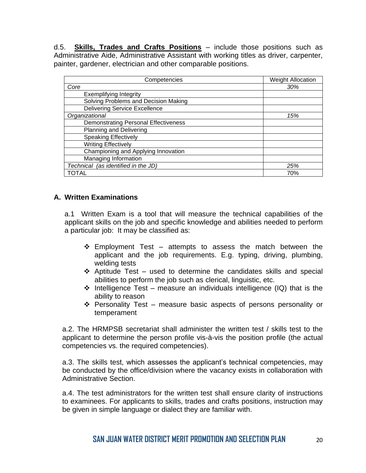d.5. **Skills, Trades and Crafts Positions** – include those positions such as Administrative Aide, Administrative Assistant with working titles as driver, carpenter, painter, gardener, electrician and other comparable positions.

| Competencies                                | <b>Weight Allocation</b> |
|---------------------------------------------|--------------------------|
| Core                                        | 30%                      |
| <b>Exemplifying Integrity</b>               |                          |
| Solving Problems and Decision Making        |                          |
| <b>Delivering Service Excellence</b>        |                          |
| Organizational                              | 15%                      |
| <b>Demonstrating Personal Effectiveness</b> |                          |
| <b>Planning and Delivering</b>              |                          |
| <b>Speaking Effectively</b>                 |                          |
| <b>Writing Effectively</b>                  |                          |
| Championing and Applying Innovation         |                          |
| Managing Information                        |                          |
| Technical (as identified in the JD)         | 25%                      |
| TOTAL                                       | 70%                      |

## **A. Written Examinations**

a.1 Written Exam is a tool that will measure the technical capabilities of the applicant skills on the job and specific knowledge and abilities needed to perform a particular job: It may be classified as:

- $\div$  Employment Test attempts to assess the match between the applicant and the job requirements. E.g. typing, driving, plumbing, welding tests
- $\cdot$  Aptitude Test used to determine the candidates skills and special abilities to perform the job such as clerical, linguistic, etc.
- $\cdot$  Intelligence Test measure an individuals intelligence (IQ) that is the ability to reason
- ❖ Personality Test measure basic aspects of persons personality or temperament

a.2. The HRMPSB secretariat shall administer the written test / skills test to the applicant to determine the person profile vis-à-vis the position profile (the actual competencies vs. the required competencies).

a.3. The skills test, which assesses the applicant's technical competencies, may be conducted by the office/division where the vacancy exists in collaboration with Administrative Section.

a.4. The test administrators for the written test shall ensure clarity of instructions to examinees. For applicants to skills, trades and crafts positions, instruction may be given in simple language or dialect they are familiar with.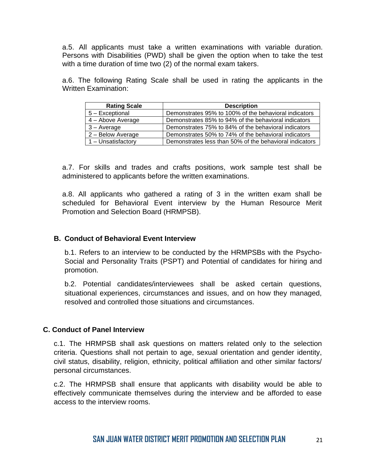a.5. All applicants must take a written examinations with variable duration. Persons with Disabilities (PWD) shall be given the option when to take the test with a time duration of time two (2) of the normal exam takers.

a.6. The following Rating Scale shall be used in rating the applicants in the Written Examination:

| <b>Rating Scale</b> | <b>Description</b>                                      |
|---------------------|---------------------------------------------------------|
| 5 - Exceptional     | Demonstrates 95% to 100% of the behavioral indicators   |
| 4 - Above Average   | Demonstrates 85% to 94% of the behavioral indicators    |
| $3 - Average$       | Demonstrates 75% to 84% of the behavioral indicators    |
| 2 - Below Average   | Demonstrates 50% to 74% of the behavioral indicators    |
| 1 - Unsatisfactory  | Demonstrates less than 50% of the behavioral indicators |

a.7. For skills and trades and crafts positions, work sample test shall be administered to applicants before the written examinations.

a.8. All applicants who gathered a rating of 3 in the written exam shall be scheduled for Behavioral Event interview by the Human Resource Merit Promotion and Selection Board (HRMPSB).

## **B. Conduct of Behavioral Event Interview**

b.1. Refers to an interview to be conducted by the HRMPSBs with the Psycho-Social and Personality Traits (PSPT) and Potential of candidates for hiring and promotion.

b.2. Potential candidates/interviewees shall be asked certain questions, situational experiences, circumstances and issues, and on how they managed, resolved and controlled those situations and circumstances.

## **C. Conduct of Panel Interview**

c.1. The HRMPSB shall ask questions on matters related only to the selection criteria. Questions shall not pertain to age, sexual orientation and gender identity, civil status, disability, religion, ethnicity, political affiliation and other similar factors/ personal circumstances.

c.2. The HRMPSB shall ensure that applicants with disability would be able to effectively communicate themselves during the interview and be afforded to ease access to the interview rooms.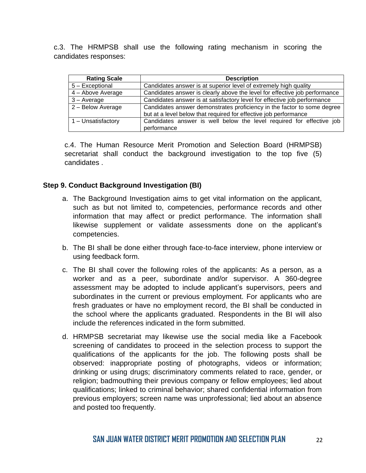c.3. The HRMPSB shall use the following rating mechanism in scoring the candidates responses:

| <b>Rating Scale</b> | <b>Description</b>                                                                                                                          |
|---------------------|---------------------------------------------------------------------------------------------------------------------------------------------|
| 5 - Exceptional     | Candidates answer is at superior level of extremely high quality                                                                            |
| 4 - Above Average   | Candidates answer is clearly above the level for effective job performance                                                                  |
| $3 - Average$       | Candidates answer is at satisfactory level for effective job performance                                                                    |
| 2 - Below Average   | Candidates answer demonstrates proficiency in the factor to some degree<br>but at a level below that required for effective job performance |
| 1 - Unsatisfactory  | Candidates answer is well below the level required for effective job<br>performance                                                         |

c.4. The Human Resource Merit Promotion and Selection Board (HRMPSB) secretariat shall conduct the background investigation to the top five (5) candidates .

## **Step 9. Conduct Background Investigation (BI)**

- a. The Background Investigation aims to get vital information on the applicant, such as but not limited to, competencies, performance records and other information that may affect or predict performance. The information shall likewise supplement or validate assessments done on the applicant's competencies.
- b. The BI shall be done either through face-to-face interview, phone interview or using feedback form.
- c. The BI shall cover the following roles of the applicants: As a person, as a worker and as a peer, subordinate and/or supervisor. A 360-degree assessment may be adopted to include applicant's supervisors, peers and subordinates in the current or previous employment. For applicants who are fresh graduates or have no employment record, the BI shall be conducted in the school where the applicants graduated. Respondents in the BI will also include the references indicated in the form submitted.
- d. HRMPSB secretariat may likewise use the social media like a Facebook screening of candidates to proceed in the selection process to support the qualifications of the applicants for the job. The following posts shall be observed: inappropriate posting of photographs, videos or information; drinking or using drugs; discriminatory comments related to race, gender, or religion; badmouthing their previous company or fellow employees; lied about qualifications; linked to criminal behavior; shared confidential information from previous employers; screen name was unprofessional; lied about an absence and posted too frequently.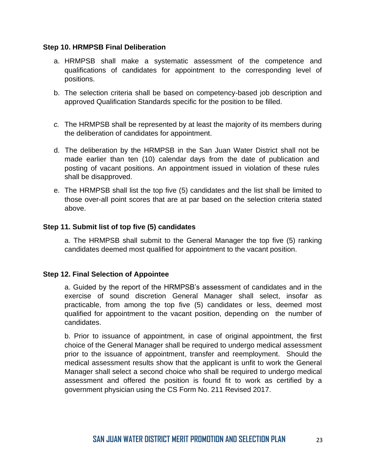## **Step 10. HRMPSB Final Deliberation**

- a. HRMPSB shall make a systematic assessment of the competence and qualifications of candidates for appointment to the corresponding level of positions.
- b. The selection criteria shall be based on competency-based job description and approved Qualification Standards specific for the position to be filled.
- *c.* The HRMPSB shall be represented by at least the majority of its members during the deliberation of candidates for appointment.
- d. The deliberation by the HRMPSB in the San Juan Water District shall not be made earlier than ten (10) calendar days from the date of publication and posting of vacant positions. An appointment issued in violation of these rules shall be disapproved.
- e. The HRMPSB shall list the top five (5) candidates and the list shall be limited to those over-all point scores that are at par based on the selection criteria stated above.

## **Step 11. Submit list of top five (5) candidates**

a. The HRMPSB shall submit to the General Manager the top five (5) ranking candidates deemed most qualified for appointment to the vacant position.

## **Step 12. Final Selection of Appointee**

a. Guided by the report of the HRMPSB's assessment of candidates and in the exercise of sound discretion General Manager shall select, insofar as practicable, from among the top five (5) candidates or less, deemed most qualified for appointment to the vacant position, depending on the number of candidates.

b. Prior to issuance of appointment, in case of original appointment, the first choice of the General Manager shall be required to undergo medical assessment prior to the issuance of appointment, transfer and reemployment. Should the medical assessment results show that the applicant is unfit to work the General Manager shall select a second choice who shall be required to undergo medical assessment and offered the position is found fit to work as certified by a government physician using the CS Form No. 211 Revised 2017.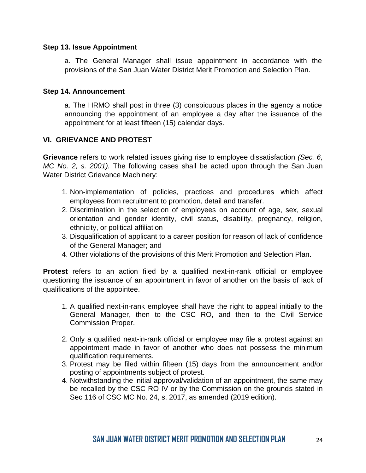## **Step 13. Issue Appointment**

a. The General Manager shall issue appointment in accordance with the provisions of the San Juan Water District Merit Promotion and Selection Plan.

## **Step 14. Announcement**

a. The HRMO shall post in three (3) conspicuous places in the agency a notice announcing the appointment of an employee a day after the issuance of the appointment for at least fifteen (15) calendar days.

## **VI. GRIEVANCE AND PROTEST**

**Grievance** refers to work related issues giving rise to employee dissatisfaction *(Sec. 6, MC No. 2, s. 2001).* The following cases shall be acted upon through the San Juan Water District Grievance Machinery:

- 1. Non-implementation of policies, practices and procedures which affect employees from recruitment to promotion, detail and transfer.
- 2. Discrimination in the selection of employees on account of age, sex, sexual orientation and gender identity, civil status, disability, pregnancy, religion, ethnicity, or political affiliation
- 3. Disqualification of applicant to a career position for reason of lack of confidence of the General Manager; and
- 4. Other violations of the provisions of this Merit Promotion and Selection Plan.

**Protest** refers to an action filed by a qualified next-in-rank official or employee questioning the issuance of an appointment in favor of another on the basis of lack of qualifications of the appointee.

- 1. A qualified next-in-rank employee shall have the right to appeal initially to the General Manager, then to the CSC RO, and then to the Civil Service Commission Proper.
- 2. Only a qualified next-in-rank official or employee may file a protest against an appointment made in favor of another who does not possess the minimum qualification requirements.
- 3. Protest may be filed within fifteen (15) days from the announcement and/or posting of appointments subject of protest.
- 4. Notwithstanding the initial approval/validation of an appointment, the same may be recalled by the CSC RO IV or by the Commission on the grounds stated in Sec 116 of CSC MC No. 24, s. 2017, as amended (2019 edition).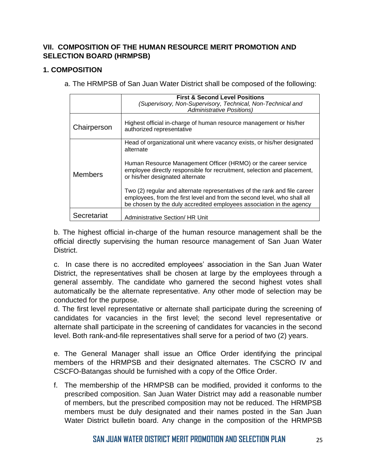## **VII. COMPOSITION OF THE HUMAN RESOURCE MERIT PROMOTION AND SELECTION BOARD (HRMPSB)**

## **1. COMPOSITION**

a. The HRMPSB of San Juan Water District shall be composed of the following:

|                | <b>First &amp; Second Level Positions</b><br>(Supervisory, Non-Supervisory, Technical, Non-Technical and<br><b>Administrative Positions)</b>                                                                                                                                                                                                                                                                                                                                                          |
|----------------|-------------------------------------------------------------------------------------------------------------------------------------------------------------------------------------------------------------------------------------------------------------------------------------------------------------------------------------------------------------------------------------------------------------------------------------------------------------------------------------------------------|
| Chairperson    | Highest official in-charge of human resource management or his/her<br>authorized representative                                                                                                                                                                                                                                                                                                                                                                                                       |
| <b>Members</b> | Head of organizational unit where vacancy exists, or his/her designated<br>alternate<br>Human Resource Management Officer (HRMO) or the career service<br>employee directly responsible for recruitment, selection and placement,<br>or his/her designated alternate<br>Two (2) regular and alternate representatives of the rank and file career<br>employees, from the first level and from the second level, who shall all<br>be chosen by the duly accredited employees association in the agency |
| Secretariat    | Administrative Section/ HR Unit                                                                                                                                                                                                                                                                                                                                                                                                                                                                       |

b. The highest official in-charge of the human resource management shall be the official directly supervising the human resource management of San Juan Water District.

c. In case there is no accredited employees' association in the San Juan Water District, the representatives shall be chosen at large by the employees through a general assembly. The candidate who garnered the second highest votes shall automatically be the alternate representative. Any other mode of selection may be conducted for the purpose.

d. The first level representative or alternate shall participate during the screening of candidates for vacancies in the first level; the second level representative or alternate shall participate in the screening of candidates for vacancies in the second level. Both rank-and-file representatives shall serve for a period of two (2) years.

e. The General Manager shall issue an Office Order identifying the principal members of the HRMPSB and their designated alternates. The CSCRO IV and CSCFO-Batangas should be furnished with a copy of the Office Order.

f. The membership of the HRMPSB can be modified, provided it conforms to the prescribed composition. San Juan Water District may add a reasonable number of members, but the prescribed composition may not be reduced. The HRMPSB members must be duly designated and their names posted in the San Juan Water District bulletin board. Any change in the composition of the HRMPSB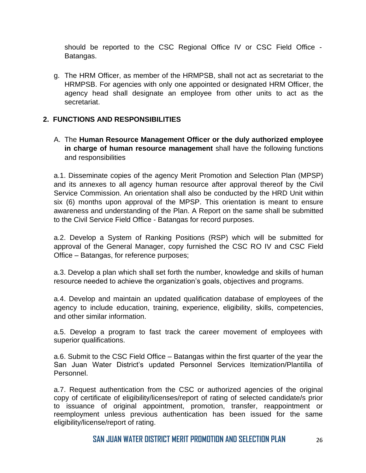should be reported to the CSC Regional Office IV or CSC Field Office - Batangas.

g. The HRM Officer, as member of the HRMPSB, shall not act as secretariat to the HRMPSB. For agencies with only one appointed or designated HRM Officer, the agency head shall designate an employee from other units to act as the secretariat.

## **2. FUNCTIONS AND RESPONSIBILITIES**

A. The **Human Resource Management Officer or the duly authorized employee in charge of human resource management** shall have the following functions and responsibilities

a.1. Disseminate copies of the agency Merit Promotion and Selection Plan (MPSP) and its annexes to all agency human resource after approval thereof by the Civil Service Commission. An orientation shall also be conducted by the HRD Unit within six (6) months upon approval of the MPSP. This orientation is meant to ensure awareness and understanding of the Plan. A Report on the same shall be submitted to the Civil Service Field Office - Batangas for record purposes.

a.2. Develop a System of Ranking Positions (RSP) which will be submitted for approval of the General Manager, copy furnished the CSC RO IV and CSC Field Office – Batangas, for reference purposes;

a.3. Develop a plan which shall set forth the number, knowledge and skills of human resource needed to achieve the organization's goals, objectives and programs.

a.4. Develop and maintain an updated qualification database of employees of the agency to include education, training, experience, eligibility, skills, competencies, and other similar information.

a.5. Develop a program to fast track the career movement of employees with superior qualifications.

a.6. Submit to the CSC Field Office – Batangas within the first quarter of the year the San Juan Water District's updated Personnel Services Itemization/Plantilla of Personnel.

a.7. Request authentication from the CSC or authorized agencies of the original copy of certificate of eligibility/licenses/report of rating of selected candidate/s prior to issuance of original appointment, promotion, transfer, reappointment or reemployment unless previous authentication has been issued for the same eligibility/license/report of rating.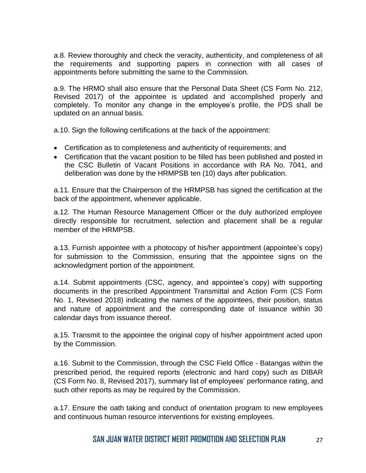a.8. Review thoroughly and check the veracity, authenticity, and completeness of all the requirements and supporting papers in connection with all cases of appointments before submitting the same to the Commission.

a.9. The HRMO shall also ensure that the Personal Data Sheet (CS Form No. 212, Revised 2017) of the appointee is updated and accomplished properly and completely. To monitor any change in the employee's profile, the PDS shall be updated on an annual basis.

a.10. Sign the following certifications at the back of the appointment:

- Certification as to completeness and authenticity of requirements; and
- Certification that the vacant position to be filled has been published and posted in the CSC Bulletin of Vacant Positions in accordance with RA No. 7041, and deliberation was done by the HRMPSB ten (10) days after publication.

a.11. Ensure that the Chairperson of the HRMPSB has signed the certification at the back of the appointment, whenever applicable.

a.12. The Human Resource Management Officer or the duly authorized employee directly responsible for recruitment, selection and placement shall be a regular member of the HRMPSB.

a.13. Furnish appointee with a photocopy of his/her appointment (appointee's copy) for submission to the Commission, ensuring that the appointee signs on the acknowledgment portion of the appointment.

a.14. Submit appointments (CSC, agency, and appointee's copy) with supporting documents in the prescribed Appointment Transmittal and Action Form (CS Form No. 1, Revised 2018) indicating the names of the appointees, their position, status and nature of appointment and the corresponding date of issuance within 30 calendar days from issuance thereof.

a.15. Transmit to the appointee the original copy of his/her appointment acted upon by the Commission.

a.16. Submit to the Commission, through the CSC Field Office - Batangas within the prescribed period, the required reports (electronic and hard copy) such as DIBAR (CS Form No. 8, Revised 2017), summary list of employees' performance rating, and such other reports as may be required by the Commission.

a.17. Ensure the oath taking and conduct of orientation program to new employees and continuous human resource interventions for existing employees.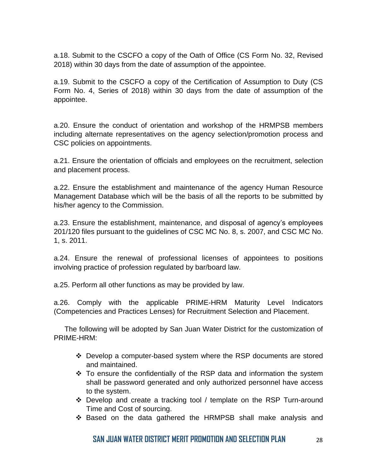a.18. Submit to the CSCFO a copy of the Oath of Office (CS Form No. 32, Revised 2018) within 30 days from the date of assumption of the appointee.

a.19. Submit to the CSCFO a copy of the Certification of Assumption to Duty (CS Form No. 4, Series of 2018) within 30 days from the date of assumption of the appointee.

a.20. Ensure the conduct of orientation and workshop of the HRMPSB members including alternate representatives on the agency selection/promotion process and CSC policies on appointments.

a.21. Ensure the orientation of officials and employees on the recruitment, selection and placement process.

a.22. Ensure the establishment and maintenance of the agency Human Resource Management Database which will be the basis of all the reports to be submitted by his/her agency to the Commission.

a.23. Ensure the establishment, maintenance, and disposal of agency's employees 201/120 files pursuant to the guidelines of CSC MC No. 8, s. 2007, and CSC MC No. 1, s. 2011.

a.24. Ensure the renewal of professional licenses of appointees to positions involving practice of profession regulated by bar/board law.

a.25. Perform all other functions as may be provided by law.

a.26. Comply with the applicable PRIME-HRM Maturity Level Indicators (Competencies and Practices Lenses) for Recruitment Selection and Placement.

The following will be adopted by San Juan Water District for the customization of PRIME-HRM:

- ❖ Develop a computer-based system where the RSP documents are stored and maintained.
- $\div$  To ensure the confidentially of the RSP data and information the system shall be password generated and only authorized personnel have access to the system.
- ❖ Develop and create a tracking tool / template on the RSP Turn-around Time and Cost of sourcing.
- ❖ Based on the data gathered the HRMPSB shall make analysis and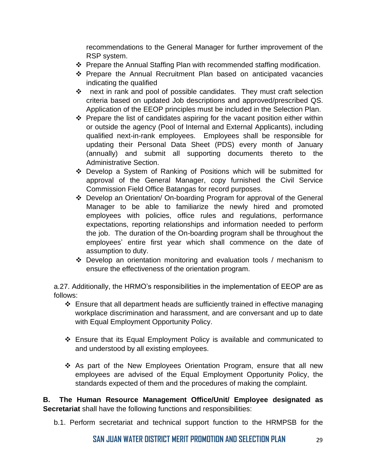recommendations to the General Manager for further improvement of the RSP system.

- ❖ Prepare the Annual Staffing Plan with recommended staffing modification.
- ❖ Prepare the Annual Recruitment Plan based on anticipated vacancies indicating the qualified
- ❖ next in rank and pool of possible candidates. They must craft selection criteria based on updated Job descriptions and approved/prescribed QS. Application of the EEOP principles must be included in the Selection Plan.
- ❖ Prepare the list of candidates aspiring for the vacant position either within or outside the agency (Pool of Internal and External Applicants), including qualified next-in-rank employees. Employees shall be responsible for updating their Personal Data Sheet (PDS) every month of January (annually) and submit all supporting documents thereto to the Administrative Section.
- ❖ Develop a System of Ranking of Positions which will be submitted for approval of the General Manager, copy furnished the Civil Service Commission Field Office Batangas for record purposes.
- ❖ Develop an Orientation/ On-boarding Program for approval of the General Manager to be able to familiarize the newly hired and promoted employees with policies, office rules and regulations, performance expectations, reporting relationships and information needed to perform the job. The duration of the On-boarding program shall be throughout the employees' entire first year which shall commence on the date of assumption to duty.
- ❖ Develop an orientation monitoring and evaluation tools / mechanism to ensure the effectiveness of the orientation program.

a.27. Additionally, the HRMO's responsibilities in the implementation of EEOP are as follows:

- ❖ Ensure that all department heads are sufficiently trained in effective managing workplace discrimination and harassment, and are conversant and up to date with Equal Employment Opportunity Policy.
- ❖ Ensure that its Equal Employment Policy is available and communicated to and understood by all existing employees.
- ❖ As part of the New Employees Orientation Program, ensure that all new employees are advised of the Equal Employment Opportunity Policy, the standards expected of them and the procedures of making the complaint.

**B. The Human Resource Management Office/Unit/ Employee designated as Secretariat** shall have the following functions and responsibilities:

b.1. Perform secretariat and technical support function to the HRMPSB for the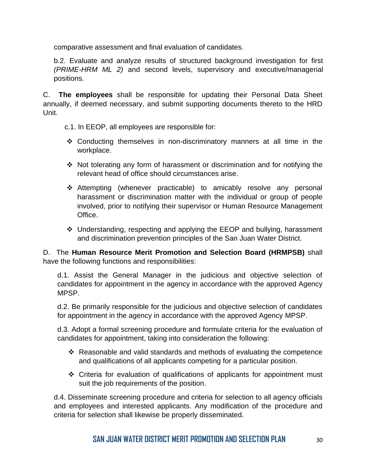comparative assessment and final evaluation of candidates.

b.2. Evaluate and analyze results of structured background investigation for first *(PRIME-HRM ML 2)* and second levels, supervisory and executive/managerial positions.

C. **The employees** shall be responsible for updating their Personal Data Sheet annually, if deemed necessary, and submit supporting documents thereto to the HRD Unit.

- c.1. In EEOP, all employees are responsible for:
- ❖ Conducting themselves in non-discriminatory manners at all time in the workplace.
- ❖ Not tolerating any form of harassment or discrimination and for notifying the relevant head of office should circumstances arise.
- ❖ Attempting (whenever practicable) to amicably resolve any personal harassment or discrimination matter with the individual or group of people involved, prior to notifying their supervisor or Human Resource Management Office.
- ❖ Understanding, respecting and applying the EEOP and bullying, harassment and discrimination prevention principles of the San Juan Water District.

D. The **Human Resource Merit Promotion and Selection Board (HRMPSB)** shall have the following functions and responsibilities:

d.1. Assist the General Manager in the judicious and objective selection of candidates for appointment in the agency in accordance with the approved Agency MPSP.

d.2. Be primarily responsible for the judicious and objective selection of candidates for appointment in the agency in accordance with the approved Agency MPSP.

d.3. Adopt a formal screening procedure and formulate criteria for the evaluation of candidates for appointment, taking into consideration the following:

- ❖ Reasonable and valid standards and methods of evaluating the competence and qualifications of all applicants competing for a particular position.
- ❖ Criteria for evaluation of qualifications of applicants for appointment must suit the job requirements of the position.

d.4. Disseminate screening procedure and criteria for selection to all agency officials and employees and interested applicants. Any modification of the procedure and criteria for selection shall likewise be properly disseminated.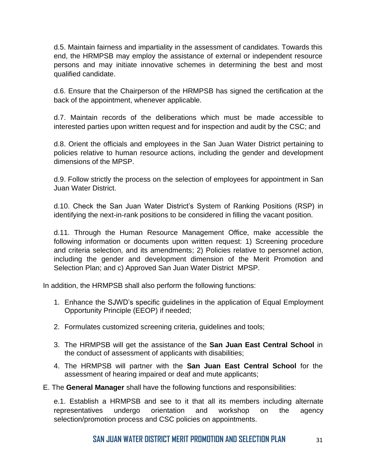d.5. Maintain fairness and impartiality in the assessment of candidates. Towards this end, the HRMPSB may employ the assistance of external or independent resource persons and may initiate innovative schemes in determining the best and most qualified candidate.

d.6. Ensure that the Chairperson of the HRMPSB has signed the certification at the back of the appointment, whenever applicable.

d.7. Maintain records of the deliberations which must be made accessible to interested parties upon written request and for inspection and audit by the CSC; and

d.8. Orient the officials and employees in the San Juan Water District pertaining to policies relative to human resource actions, including the gender and development dimensions of the MPSP.

d.9. Follow strictly the process on the selection of employees for appointment in San Juan Water District.

d.10. Check the San Juan Water District's System of Ranking Positions (RSP) in identifying the next-in-rank positions to be considered in filling the vacant position.

d.11. Through the Human Resource Management Office, make accessible the following information or documents upon written request: 1) Screening procedure and criteria selection, and its amendments; 2) Policies relative to personnel action, including the gender and development dimension of the Merit Promotion and Selection Plan; and c) Approved San Juan Water District MPSP.

In addition, the HRMPSB shall also perform the following functions:

- 1. Enhance the SJWD's specific guidelines in the application of Equal Employment Opportunity Principle (EEOP) if needed;
- 2. Formulates customized screening criteria, guidelines and tools;
- 3. The HRMPSB will get the assistance of the **San Juan East Central School** in the conduct of assessment of applicants with disabilities;
- 4. The HRMPSB will partner with the **San Juan East Central School** for the assessment of hearing impaired or deaf and mute applicants;
- E. The **General Manager** shall have the following functions and responsibilities:

e.1. Establish a HRMPSB and see to it that all its members including alternate representatives undergo orientation and workshop on the agency selection/promotion process and CSC policies on appointments.